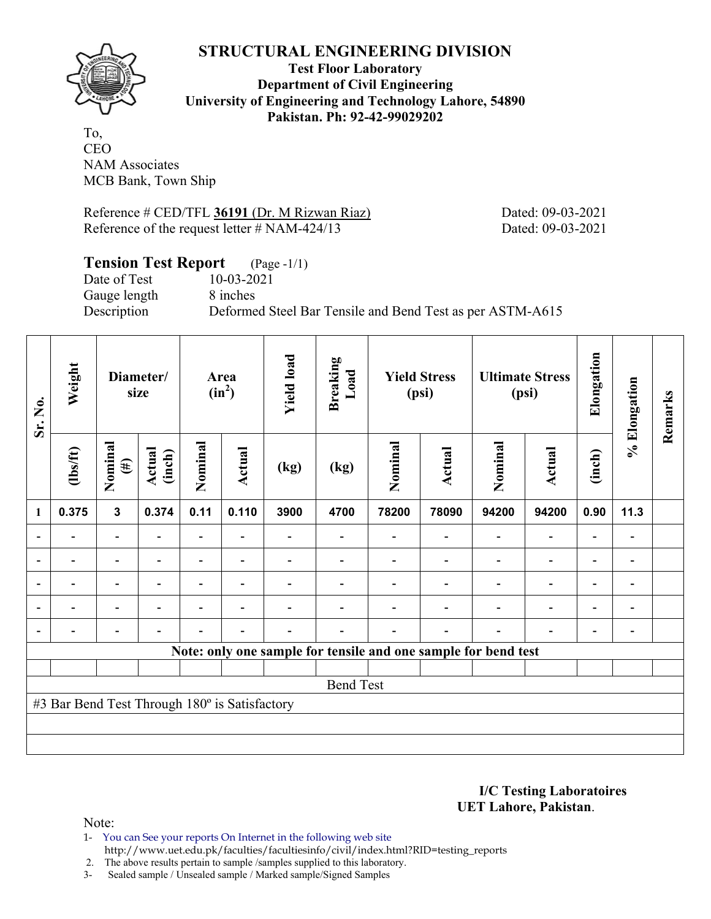## **STRUCTURAL ENGINEERING DIVISION**



**Test Floor Laboratory Department of Civil Engineering University of Engineering and Technology Lahore, 54890 Pakistan. Ph: 92-42-99029202** 

To, CEO NAM Associates MCB Bank, Town Ship

Reference # CED/TFL **36191** (Dr. M Rizwan Riaz) Dated: 09-03-2021 Reference of the request letter # NAM-424/13 Dated: 09-03-2021

#### **Tension Test Report** (Page -1/1)

Date of Test 10-03-2021 Gauge length 8 inches

Description Deformed Steel Bar Tensile and Bend Test as per ASTM-A615

| Sr. No.                                                        | Weight         | Diameter/<br>size        |                          | Area<br>$(in^2)$         |                          | <b>Yield load</b> | <b>Breaking</b><br>Load | <b>Yield Stress</b><br>(psi) |                | <b>Ultimate Stress</b><br>(psi) |                          | Elongation               | % Elongation             | Remarks |
|----------------------------------------------------------------|----------------|--------------------------|--------------------------|--------------------------|--------------------------|-------------------|-------------------------|------------------------------|----------------|---------------------------------|--------------------------|--------------------------|--------------------------|---------|
|                                                                | $\frac{2}{10}$ | Nominal<br>$(\#)$        | Actual<br>(inch)         | Nominal                  | <b>Actual</b>            | (kg)              | (kg)                    | Nominal                      | <b>Actual</b>  | Nominal                         | Actual                   | (inch)                   |                          |         |
| 1                                                              | 0.375          | $\overline{\mathbf{3}}$  | 0.374                    | 0.11                     | 0.110                    | 3900              | 4700                    | 78200                        | 78090          | 94200                           | 94200                    | 0.90                     | 11.3                     |         |
| $\blacksquare$                                                 |                | $\overline{\phantom{a}}$ | ۰                        | $\overline{\phantom{a}}$ |                          |                   |                         |                              |                |                                 | $\overline{\phantom{0}}$ | $\blacksquare$           | $\overline{\phantom{a}}$ |         |
|                                                                |                | $\overline{\phantom{0}}$ |                          |                          |                          |                   |                         |                              |                |                                 | $\overline{\phantom{0}}$ | $\overline{\phantom{0}}$ |                          |         |
| $\overline{a}$                                                 |                | $\overline{\phantom{0}}$ |                          |                          |                          |                   |                         |                              |                |                                 | $\overline{\phantom{0}}$ | $\overline{\phantom{0}}$ | $\blacksquare$           |         |
| $\blacksquare$                                                 | -              | Ξ.                       | $\overline{\phantom{0}}$ | $\blacksquare$           | $\overline{\phantom{a}}$ |                   |                         |                              |                | $\blacksquare$                  | $\blacksquare$           | $\blacksquare$           | $\blacksquare$           |         |
|                                                                | -              | $\overline{\phantom{0}}$ |                          |                          | $\overline{\phantom{0}}$ |                   |                         |                              | $\blacksquare$ | $\blacksquare$                  | $\overline{\phantom{0}}$ | $\overline{\phantom{0}}$ |                          |         |
| Note: only one sample for tensile and one sample for bend test |                |                          |                          |                          |                          |                   |                         |                              |                |                                 |                          |                          |                          |         |
|                                                                |                |                          |                          |                          |                          |                   |                         |                              |                |                                 |                          |                          |                          |         |
| <b>Bend Test</b>                                               |                |                          |                          |                          |                          |                   |                         |                              |                |                                 |                          |                          |                          |         |
| #3 Bar Bend Test Through 180° is Satisfactory                  |                |                          |                          |                          |                          |                   |                         |                              |                |                                 |                          |                          |                          |         |
|                                                                |                |                          |                          |                          |                          |                   |                         |                              |                |                                 |                          |                          |                          |         |
|                                                                |                |                          |                          |                          |                          |                   |                         |                              |                |                                 |                          |                          |                          |         |

**I/C Testing Laboratoires UET Lahore, Pakistan**.

Note:

1- You can See your reports On Internet in the following web site http://www.uet.edu.pk/faculties/facultiesinfo/civil/index.html?RID=testing\_reports

2. The above results pertain to sample /samples supplied to this laboratory.

3- Sealed sample / Unsealed sample / Marked sample/Signed Samples